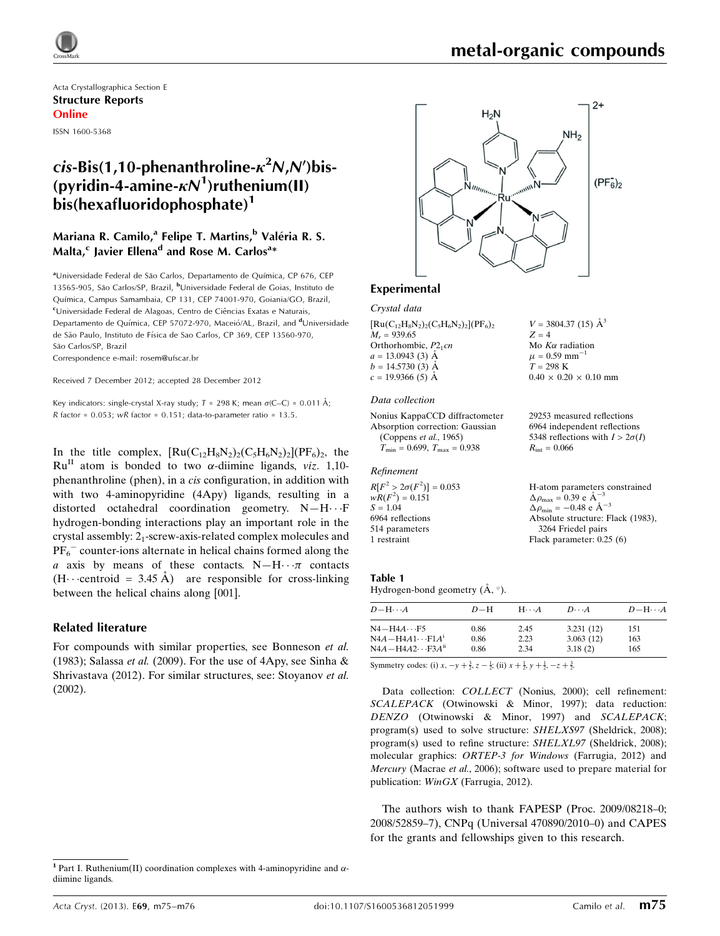

Acta Crystallographica Section E Structure Reports Online ISSN 1600-5368

## c*is*-Bis(1,10-phenanthroline- $\kappa^2$ N,N')bis-(pyridin-4-amine- $\kappa N^1$ )ruthenium(II)  $bis(hexafluoridophosphate)<sup>1</sup>$

## Mariana R. Camilo,<sup>a</sup> Felipe T. Martins,<sup>b</sup> Valéria R. S. Malta, $^{\mathsf{c}}$  Javier Ellena $^{\mathsf{d}}$  and Rose M. Carlos $^{\mathsf{a}}{}^*$

aUniversidade Federal de São Carlos, Departamento de Química, CP 676, CEP 13565-905, São Carlos/SP, Brazil, <sup>b</sup>Universidade Federal de Goias, Instituto de Química, Campus Samambaia, CP 131, CEP 74001-970, Goiania/GO, Brazil, <sup>c</sup>Universidade Federal de Alagoas, Centro de Ciências Exatas e Naturais, Departamento de Química, CEP 57072-970, Maceió/AL, Brazil, and <sup>d</sup>Universidade de São Paulo, Instituto de Física de Sao Carlos, CP 369, CEP 13560-970, São Carlos/SP, Brazil

Correspondence e-mail: [rosem@ufscar.br](https://scripts.iucr.org/cgi-bin/cr.cgi?rm=pdfbb&cnor=bg2495&bbid=BB12)

Received 7 December 2012; accepted 28 December 2012

Key indicators: single-crystal X-ray study;  $T = 298$  K; mean  $\sigma$ (C–C) = 0.011 Å;  $R$  factor = 0.053; wR factor = 0.151; data-to-parameter ratio = 13.5.

In the title complex,  $\text{[Ru(C}_{12}H_8N_2)_2\text{(C}_5H_6N_2)_2\text{]}(PF_6)_2$ , the  $Ru<sup>II</sup>$  atom is bonded to two  $\alpha$ -diimine ligands, *viz.* 1,10phenanthroline (phen), in a cis configuration, in addition with with two 4-aminopyridine (4Apy) ligands, resulting in a distorted octahedral coordination geometry. N-H...F hydrogen-bonding interactions play an important role in the crystal assembly:  $2<sub>1</sub>$ -screw-axis-related complex molecules and  $PF_6^-$  counter-ions alternate in helical chains formed along the a axis by means of these contacts.  $N-H\cdots\pi$  contacts  $(H \cdot$  centroid = 3.45 Å) are responsible for cross-linking between the helical chains along [001].

#### Related literature

For compounds with similar properties, see Bonneson et al. (1983); Salassa *et al.* (2009). For the use of  $4Apy$ , see Sinha & Shrivastava (2012). For similar structures, see: Stoyanov et al. (2002).



#### Experimental

Crystal data

 $[Ru(C_{12}H_8N_2)_2(C_5H_6N_2)_2](PF_6)_2$  $M_r = 939.65$ Orthorhombic,  $P2_1cn$  $a = 13.0943(3)$  Å  $b = 14.5730(3)$  Å  $c = 19.9366(5)$  Å

#### Data collection

Nonius KappaCCD diffractometer Absorption correction: Gaussian (Coppens et al., 1965)  $T_{\text{min}} = 0.699, T_{\text{max}} = 0.938$ 

#### Refinement

 $R[F^2 > 2\sigma(F^2)] = 0.053$  $wR(F^2) = 0.151$  $S = 1.04$ 6964 reflections 514 parameters 1 restraint

 $Z = 4$ Mo  $K\alpha$  radiation  $\mu$  = 0.59 mm<sup>-1</sup>  $T = 298 \text{ K}$  $0.40 \times 0.20 \times 0.10$  mm

 $V = 3804.37(15)$   $\AA^3$ 

29253 measured reflections 6964 independent reflections 5348 reflections with  $I > 2\sigma(I)$  $R_{\text{int}} = 0.066$ 

H-atom parameters constrained  $\Delta \rho_{\text{max}} = 0.39 \text{ e A}^{-3}$  $\Delta \rho_{\rm min} = -0.48 \text{ e } \text{\AA}^{-3}$ Absolute structure: Flack (1983), 3264 Friedel pairs Flack parameter: 0.25 (6)

#### Table 1

| Hydrogen-bond geometry $(A, \circ)$ . |  |  |
|---------------------------------------|--|--|

| $D - H \cdots A$                                                   | $D-H$ | $H\cdots A$ | $D\cdots A$ | $D$ -H $\cdots$ A |
|--------------------------------------------------------------------|-------|-------------|-------------|-------------------|
| $N4 - H4A \cdots F5$                                               | 0.86  | 2.45        | 3.231(12)   | 151               |
| $N4A - H4A1 \cdots F1A^{T}$                                        | 0.86  | 2.23        | 3.063(12)   | 163               |
| $N4A - H4A2 \cdots F3Aii$                                          | 0.86  | 2.34        | 3.18(2)     | 165               |
| $\mathcal{O}_{\text{symmetry and set}}(2) = 13 = 16(22) = 13 = 13$ |       |             |             |                   |

Symmetry codes: (i)  $x, -y + \frac{3}{2}, z - \frac{1}{2}$ ; (ii)  $x + \frac{1}{2}, y + \frac{1}{2}, -z + \frac{3}{2}$ .

Data collection: COLLECT (Nonius, 2000); cell refinement: SCALEPACK (Otwinowski & Minor, 1997); data reduction: DENZO (Otwinowski & Minor, 1997) and SCALEPACK; program(s) used to solve structure: SHELXS97 (Sheldrick, 2008); program(s) used to refine structure: SHELXL97 (Sheldrick, 2008); molecular graphics: ORTEP-3 for Windows (Farrugia, 2012) and Mercury (Macrae et al., 2006); software used to prepare material for publication: WinGX (Farrugia, 2012).

The authors wish to thank FAPESP (Proc. 2009/08218–0; 2008/52859–7), CNPq (Universal 470890/2010–0) and CAPES for the grants and fellowships given to this research.

<sup>&</sup>lt;sup>1</sup> Part I. Ruthenium(II) coordination complexes with 4-aminopyridine and  $\alpha$ diimine ligands.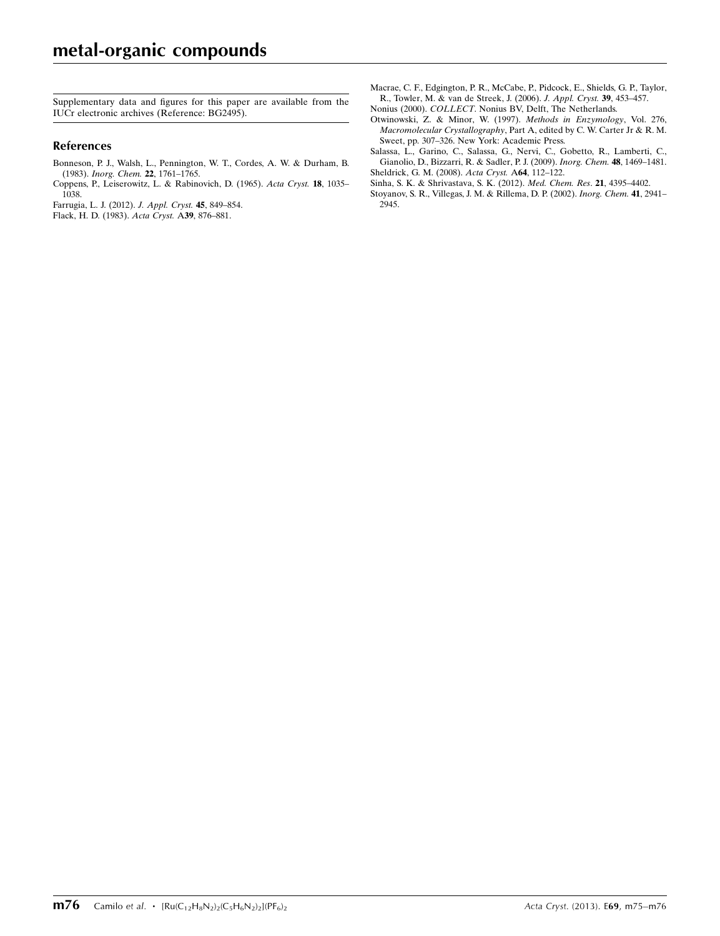Supplementary data and figures for this paper are available from the IUCr electronic archives (Reference: BG2495).

#### References

- [Bonneson, P. J., Walsh, L., Pennington, W. T., Cordes, A. W. & Durham, B.](https://scripts.iucr.org/cgi-bin/cr.cgi?rm=pdfbb&cnor=bg2495&bbid=BB1) (1983). [Inorg. Chem.](https://scripts.iucr.org/cgi-bin/cr.cgi?rm=pdfbb&cnor=bg2495&bbid=BB1) 22, 1761–1765.
- [Coppens, P., Leiserowitz, L. & Rabinovich, D. \(1965\).](https://scripts.iucr.org/cgi-bin/cr.cgi?rm=pdfbb&cnor=bg2495&bbid=BB2) Acta Cryst. 18, 1035– [1038.](https://scripts.iucr.org/cgi-bin/cr.cgi?rm=pdfbb&cnor=bg2495&bbid=BB2)
- [Farrugia, L. J. \(2012\).](https://scripts.iucr.org/cgi-bin/cr.cgi?rm=pdfbb&cnor=bg2495&bbid=BB3) J. Appl. Cryst. 45, 849–854.
- [Flack, H. D. \(1983\).](https://scripts.iucr.org/cgi-bin/cr.cgi?rm=pdfbb&cnor=bg2495&bbid=BB5) Acta Cryst. A39, 876–881.
- [Macrae, C. F., Edgington, P. R., McCabe, P., Pidcock, E., Shields, G. P., Taylor,](https://scripts.iucr.org/cgi-bin/cr.cgi?rm=pdfbb&cnor=bg2495&bbid=BB6) [R., Towler, M. & van de Streek, J. \(2006\).](https://scripts.iucr.org/cgi-bin/cr.cgi?rm=pdfbb&cnor=bg2495&bbid=BB6) J. Appl. Cryst. 39, 453–457.
- Nonius (2000). COLLECT[. Nonius BV, Delft, The Netherlands.](https://scripts.iucr.org/cgi-bin/cr.cgi?rm=pdfbb&cnor=bg2495&bbid=BB7)
- [Otwinowski, Z. & Minor, W. \(1997\).](https://scripts.iucr.org/cgi-bin/cr.cgi?rm=pdfbb&cnor=bg2495&bbid=BB8) Methods in Enzymology, Vol. 276, Macromolecular Crystallography[, Part A, edited by C. W. Carter Jr & R. M.](https://scripts.iucr.org/cgi-bin/cr.cgi?rm=pdfbb&cnor=bg2495&bbid=BB8) [Sweet, pp. 307–326. New York: Academic Press.](https://scripts.iucr.org/cgi-bin/cr.cgi?rm=pdfbb&cnor=bg2495&bbid=BB8)
- [Salassa, L., Garino, C., Salassa, G., Nervi, C., Gobetto, R., Lamberti, C.,](https://scripts.iucr.org/cgi-bin/cr.cgi?rm=pdfbb&cnor=bg2495&bbid=BB9) [Gianolio, D., Bizzarri, R. & Sadler, P. J. \(2009\).](https://scripts.iucr.org/cgi-bin/cr.cgi?rm=pdfbb&cnor=bg2495&bbid=BB9) Inorg. Chem. 48, 1469–1481. [Sheldrick, G. M. \(2008\).](https://scripts.iucr.org/cgi-bin/cr.cgi?rm=pdfbb&cnor=bg2495&bbid=BB10) Acta Cryst. A64, 112–122.
- [Sinha, S. K. & Shrivastava, S. K. \(2012\).](https://scripts.iucr.org/cgi-bin/cr.cgi?rm=pdfbb&cnor=bg2495&bbid=BB11) Med. Chem. Res. 21, 4395–4402.
- [Stoyanov, S. R., Villegas, J. M. & Rillema, D. P. \(2002\).](https://scripts.iucr.org/cgi-bin/cr.cgi?rm=pdfbb&cnor=bg2495&bbid=BB12) Inorg. Chem. 41, 2941– [2945.](https://scripts.iucr.org/cgi-bin/cr.cgi?rm=pdfbb&cnor=bg2495&bbid=BB12)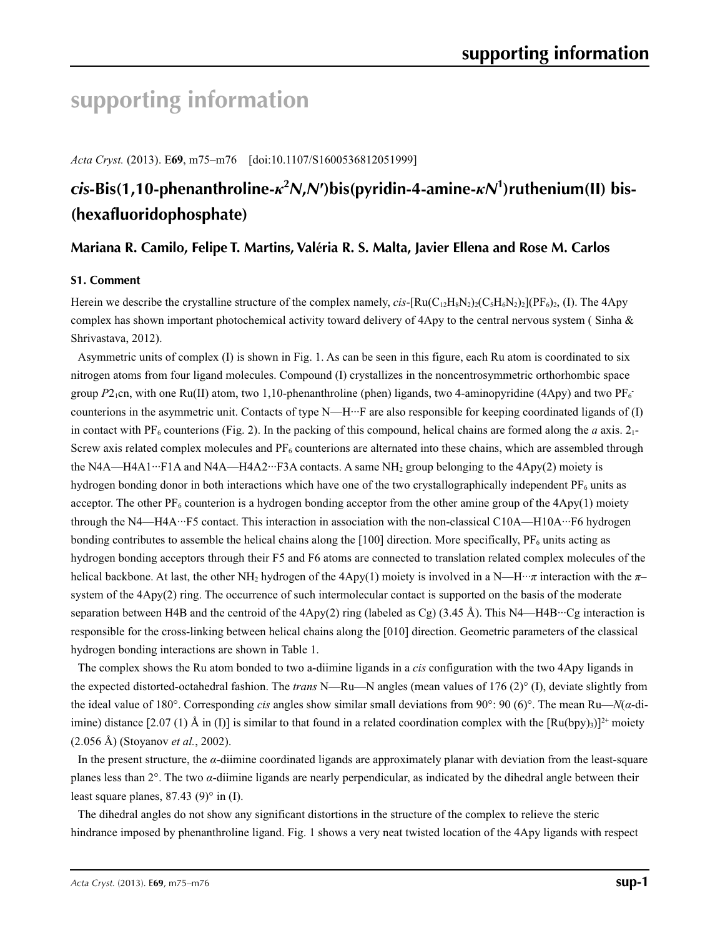# **supporting information**

*Acta Cryst.* (2013). E**69**, m75–m76 [doi:10.1107/S1600536812051999]

## *cis***-Bis(1,10-phenanthroline-***κ***<sup>2</sup>** *N***,***N***′)bis(pyridin-4-amine-***κN***<sup>1</sup> )ruthenium(II) bis- (hexafluoridophosphate)**

## **Mariana R. Camilo, Felipe T. Martins, Valéria R. S. Malta, Javier Ellena and Rose M. Carlos**

### **S1. Comment**

Herein we describe the crystalline structure of the complex namely,  $cis$ -[Ru(C<sub>12</sub>H<sub>8</sub>N<sub>2</sub>)<sub>2</sub>(C<sub>5</sub>H<sub>6</sub>N<sub>2</sub>)<sub>2</sub>](PF<sub>6</sub>)<sub>2</sub>, (I). The 4Apy complex has shown important photochemical activity toward delivery of 4Apy to the central nervous system (Sinha & Shrivastava, 2012).

Asymmetric units of complex (I) is shown in Fig. 1. As can be seen in this figure, each Ru atom is coordinated to six nitrogen atoms from four ligand molecules. Compound (I) crystallizes in the noncentrosymmetric orthorhombic space group  $P2_1$ cn, with one Ru(II) atom, two 1,10-phenanthroline (phen) ligands, two 4-aminopyridine (4Apy) and two PF<sub>6</sub> counterions in the asymmetric unit. Contacts of type N—H···F are also responsible for keeping coordinated ligands of (I) in contact with PF<sub>6</sub> counterions (Fig. 2). In the packing of this compound, helical chains are formed along the *a* axis.  $2_1$ -Screw axis related complex molecules and  $PF<sub>6</sub>$  counterions are alternated into these chains, which are assembled through the N4A—H4A1···F1A and N4A—H4A2···F3A contacts. A same NH<sub>2</sub> group belonging to the  $4Apy(2)$  moiety is hydrogen bonding donor in both interactions which have one of the two crystallographically independent  $PF_6$  units as acceptor. The other  $PF_6$  counterion is a hydrogen bonding acceptor from the other amine group of the  $4Apy(1)$  moiety through the N4—H4A···F5 contact. This interaction in association with the non-classical C10A—H10A···F6 hydrogen bonding contributes to assemble the helical chains along the [100] direction. More specifically,  $PF_6$  units acting as hydrogen bonding acceptors through their F5 and F6 atoms are connected to translation related complex molecules of the helical backbone. At last, the other NH2 hydrogen of the 4Apy(1) moiety is involved in a N—H···*π* interaction with the *π*– system of the 4Apy(2) ring. The occurrence of such intermolecular contact is supported on the basis of the moderate separation between H4B and the centroid of the  $4Apy(2)$  ring (labeled as Cg) (3.45 Å). This N4—H4B···Cg interaction is responsible for the cross-linking between helical chains along the [010] direction. Geometric parameters of the classical hydrogen bonding interactions are shown in Table 1.

The complex shows the Ru atom bonded to two a-diimine ligands in a *cis* configuration with the two 4Apy ligands in the expected distorted-octahedral fashion. The *trans* N—Ru—N angles (mean values of 176 (2)° (I), deviate slightly from the ideal value of 180°. Corresponding *cis* angles show similar small deviations from 90°: 90 (6)°. The mean Ru—*N*(*α*-diimine) distance [2.07 (1) Å in (I)] is similar to that found in a related coordination complex with the  $[Ru(bpy)_3)]^{2+}$  moiety (2.056 Å) (Stoyanov *et al.*, 2002).

In the present structure, the *α*-diimine coordinated ligands are approximately planar with deviation from the least-square planes less than 2°. The two *α*-diimine ligands are nearly perpendicular, as indicated by the dihedral angle between their least square planes, 87.43 (9)° in (I).

The dihedral angles do not show any significant distortions in the structure of the complex to relieve the steric hindrance imposed by phenanthroline ligand. Fig. 1 shows a very neat twisted location of the 4Apy ligands with respect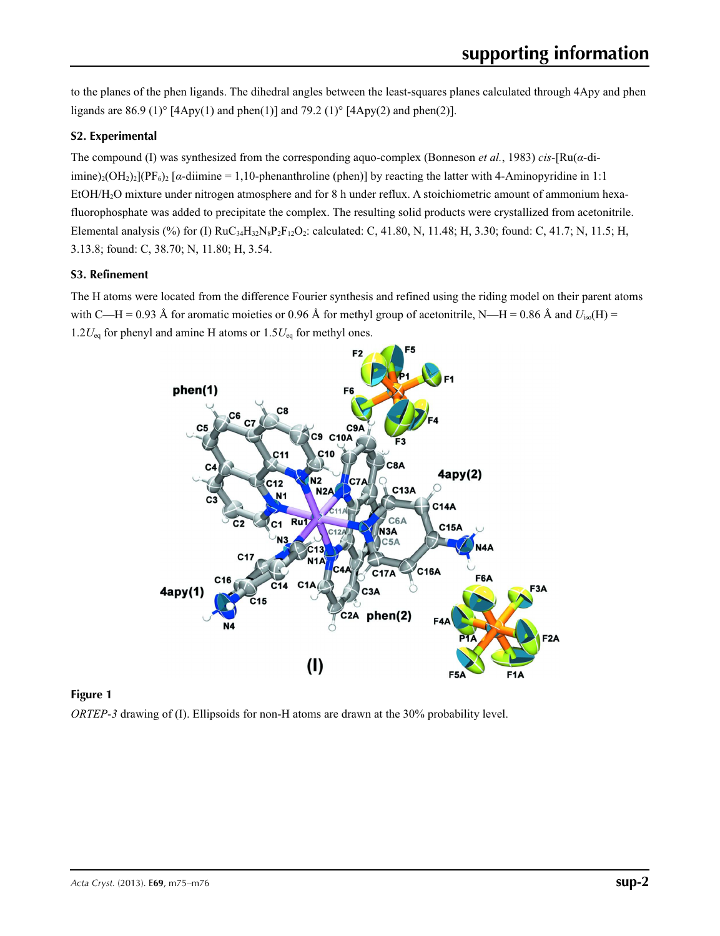to the planes of the phen ligands. The dihedral angles between the least-squares planes calculated through 4Apy and phen ligands are 86.9 (1)°  $[4Apy(1)$  and phen(1)] and 79.2 (1)°  $[4Apy(2)$  and phen(2)].

## **S2. Experimental**

The compound (I) was synthesized from the corresponding aquo-complex (Bonneson *et al.*, 1983) *cis*-[Ru(*α*-diimine)<sub>2</sub>(OH<sub>2</sub>)<sub>2</sub>](PF<sub>6</sub>)<sub>2</sub> [ $\alpha$ -diimine = 1,10-phenanthroline (phen)] by reacting the latter with 4-Aminopyridine in 1:1 EtOH/H2O mixture under nitrogen atmosphere and for 8 h under reflux. A stoichiometric amount of ammonium hexafluorophosphate was added to precipitate the complex. The resulting solid products were crystallized from acetonitrile. Elemental analysis (%) for (I)  $RuC_{34}H_{32}N_8P_2F_{12}O_2$ : calculated: C, 41.80, N, 11.48; H, 3.30; found: C, 41.7; N, 11.5; H, 3.13.8; found: C, 38.70; N, 11.80; H, 3.54.

### **S3. Refinement**

The H atoms were located from the difference Fourier synthesis and refined using the riding model on their parent atoms with C—H = 0.93 Å for aromatic moieties or 0.96 Å for methyl group of acetonitrile, N—H = 0.86 Å and  $U_{iso}(H)$  = 1.2*U*eq for phenyl and amine H atoms or 1.5*U*eq for methyl ones.





*ORTEP*-*3* drawing of (I). Ellipsoids for non-H atoms are drawn at the 30% probability level.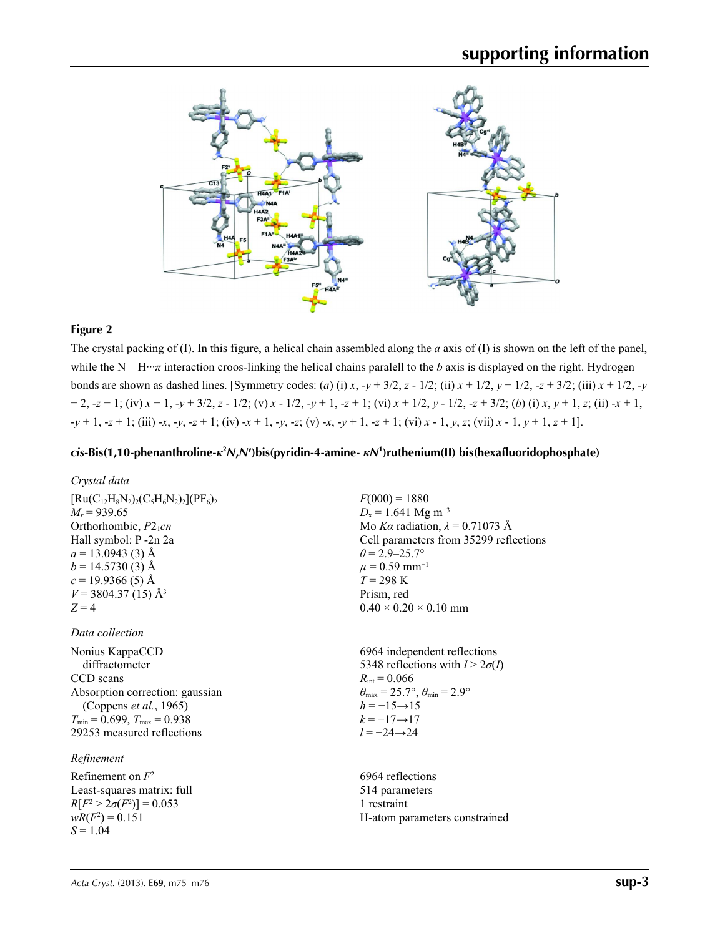

#### **Figure 2**

The crystal packing of (I). In this figure, a helical chain assembled along the *a* axis of (I) is shown on the left of the panel, while the N—H···*π* interaction croos-linking the helical chains paralell to the *b* axis is displayed on the right. Hydrogen bonds are shown as dashed lines. [Symmetry codes: (*a*) (i) *x*,  $-y + 3/2$ ,  $z - 1/2$ ; (ii)  $x + 1/2$ ,  $y + 1/2$ ,  $-z + 3/2$ ; (iii)  $x + 1/2$ ,  $-y$  $+2, -2+1$ ; (iv)  $x + 1$ ,  $-y + 3/2$ ,  $z - 1/2$ ; (v)  $x - 1/2$ ,  $-y + 1$ ,  $-z + 1$ ; (vi)  $x + 1/2$ ,  $y - 1/2$ ,  $-z + 3/2$ ; (b) (i)  $x, y + 1$ ,  $z$ ; (ii)  $-x + 1$ ,  $-y+1$ ,  $-z+1$ ; (iii)  $-x$ ,  $-y$ ,  $-z+1$ ; (iv)  $x+1$ ,  $-y$ ,  $-z$ ; (v)  $-x$ ,  $-y+1$ ,  $-z+1$ ; (vi)  $x-1$ ,  $y$ ,  $z$ ; (vii)  $x-1$ ,  $y+1$ ,  $z+1$ ].

## *cis***-Bis(1,10-phenanthroline-***κ***<sup>2</sup>** *N***,***N***′)bis(pyridin-4-amine-** *κN***<sup>1</sup> )ruthenium(II) bis(hexafluoridophosphate)**

*Crystal data*

 $[Ru(C_{12}H_8N_2)_2(C_5H_6N_2)_2](PF_6)_2$  $M_r = 939.65$ Orthorhombic,  $P2_1cn$ Hall symbol: P -2n 2a  $a = 13.0943(3)$  Å  $b = 14.5730(3)$  Å  $c = 19.9366(5)$  Å  $V = 3804.37(15)$  Å<sup>3</sup>  $Z = 4$ 

#### *Data collection*

Nonius KappaCCD diffractometer CCD scans Absorption correction: gaussian (Coppens *et al.*, 1965)  $T_{\text{min}} = 0.699$ ,  $T_{\text{max}} = 0.938$ 29253 measured reflections

### *Refinement*

Refinement on *F*<sup>2</sup> Least-squares matrix: full  $R[F^2 > 2\sigma(F^2)] = 0.053$  $wR(F^2) = 0.151$ *S* = 1.04

 $F(000) = 1880$  $D_x = 1.641$  Mg m<sup>-3</sup> Mo *Kα* radiation,  $\lambda = 0.71073$  Å Cell parameters from 35299 reflections  $\theta$  = 2.9–25.7°  $\mu$  = 0.59 mm<sup>-1</sup>  $T = 298 \text{ K}$ Prism, red  $0.40 \times 0.20 \times 0.10$  mm

6964 independent reflections 5348 reflections with  $I > 2\sigma(I)$  $R_{\text{int}} = 0.066$  $\theta_{\text{max}} = 25.7^{\circ}, \theta_{\text{min}} = 2.9^{\circ}$  $h = -15 \rightarrow 15$  $k = -17 \rightarrow 17$ *l* = −24→24

6964 reflections 514 parameters 1 restraint H-atom parameters constrained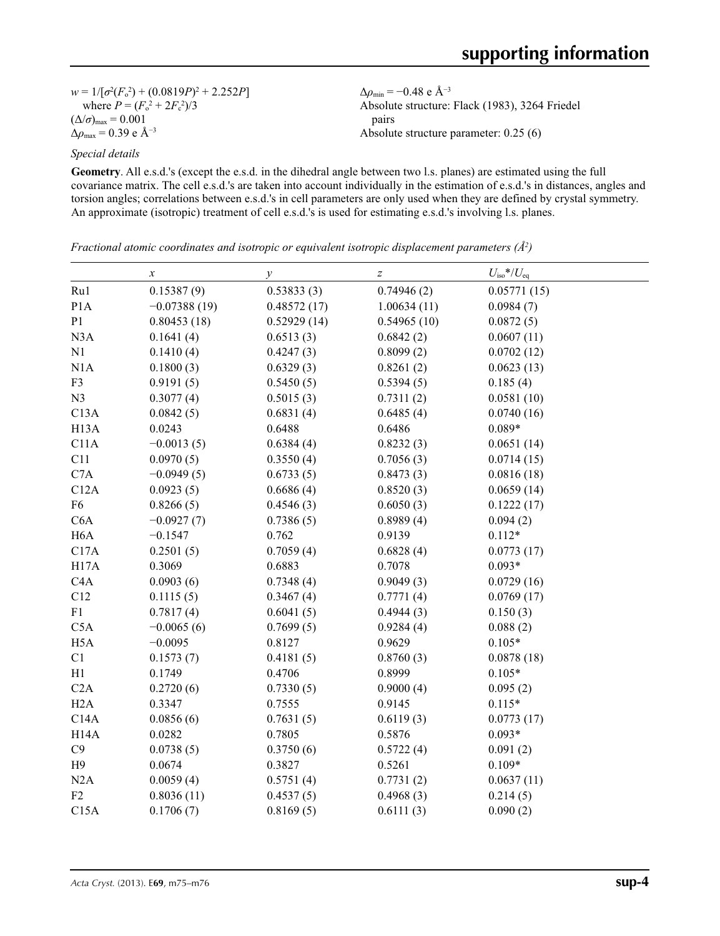$w = 1/[\sigma^2 (F_o^2) + (0.0819P)^2 + 2.252P]$ where  $P = (F_o^2 + 2F_c^2)/3$  $(\Delta/\sigma)_{\text{max}} = 0.001$ Δ*ρ*max = 0.39 e Å−3

Δ*ρ*min = −0.48 e Å−3 Absolute structure: Flack (1983), 3264 Friedel pairs Absolute structure parameter: 0.25 (6)

*Special details*

**Geometry**. All e.s.d.'s (except the e.s.d. in the dihedral angle between two l.s. planes) are estimated using the full covariance matrix. The cell e.s.d.'s are taken into account individually in the estimation of e.s.d.'s in distances, angles and torsion angles; correlations between e.s.d.'s in cell parameters are only used when they are defined by crystal symmetry. An approximate (isotropic) treatment of cell e.s.d.'s is used for estimating e.s.d.'s involving l.s. planes.

*Fractional atomic coordinates and isotropic or equivalent isotropic displacement parameters (Å<sup>2</sup>)* 

|                   | $\boldsymbol{\chi}$ | $\mathcal{Y}$ | $\boldsymbol{Z}$ | $U_{\rm iso}*/U_{\rm eq}$ |  |
|-------------------|---------------------|---------------|------------------|---------------------------|--|
| Ru1               | 0.15387(9)          | 0.53833(3)    | 0.74946(2)       | 0.05771(15)               |  |
| P <sub>1</sub> A  | $-0.07388(19)$      | 0.48572(17)   | 1.00634(11)      | 0.0984(7)                 |  |
| P <sub>1</sub>    | 0.80453(18)         | 0.52929(14)   | 0.54965(10)      | 0.0872(5)                 |  |
| N3A               | 0.1641(4)           | 0.6513(3)     | 0.6842(2)        | 0.0607(11)                |  |
| N1                | 0.1410(4)           | 0.4247(3)     | 0.8099(2)        | 0.0702(12)                |  |
| N1A               | 0.1800(3)           | 0.6329(3)     | 0.8261(2)        | 0.0623(13)                |  |
| F3                | 0.9191(5)           | 0.5450(5)     | 0.5394(5)        | 0.185(4)                  |  |
| N <sub>3</sub>    | 0.3077(4)           | 0.5015(3)     | 0.7311(2)        | 0.0581(10)                |  |
| C13A              | 0.0842(5)           | 0.6831(4)     | 0.6485(4)        | 0.0740(16)                |  |
| H <sub>13</sub> A | 0.0243              | 0.6488        | 0.6486           | $0.089*$                  |  |
| C11A              | $-0.0013(5)$        | 0.6384(4)     | 0.8232(3)        | 0.0651(14)                |  |
| C11               | 0.0970(5)           | 0.3550(4)     | 0.7056(3)        | 0.0714(15)                |  |
| C7A               | $-0.0949(5)$        | 0.6733(5)     | 0.8473(3)        | 0.0816(18)                |  |
| C12A              | 0.0923(5)           | 0.6686(4)     | 0.8520(3)        | 0.0659(14)                |  |
| F <sub>6</sub>    | 0.8266(5)           | 0.4546(3)     | 0.6050(3)        | 0.1222(17)                |  |
| C6A               | $-0.0927(7)$        | 0.7386(5)     | 0.8989(4)        | 0.094(2)                  |  |
| H <sub>6</sub> A  | $-0.1547$           | 0.762         | 0.9139           | $0.112*$                  |  |
| C17A              | 0.2501(5)           | 0.7059(4)     | 0.6828(4)        | 0.0773(17)                |  |
| H17A              | 0.3069              | 0.6883        | 0.7078           | $0.093*$                  |  |
| C4A               | 0.0903(6)           | 0.7348(4)     | 0.9049(3)        | 0.0729(16)                |  |
| C12               | 0.1115(5)           | 0.3467(4)     | 0.7771(4)        | 0.0769(17)                |  |
| F1                | 0.7817(4)           | 0.6041(5)     | 0.4944(3)        | 0.150(3)                  |  |
| C5A               | $-0.0065(6)$        | 0.7699(5)     | 0.9284(4)        | 0.088(2)                  |  |
| H <sub>5</sub> A  | $-0.0095$           | 0.8127        | 0.9629           | $0.105*$                  |  |
| C1                | 0.1573(7)           | 0.4181(5)     | 0.8760(3)        | 0.0878(18)                |  |
| H1                | 0.1749              | 0.4706        | 0.8999           | $0.105*$                  |  |
| C2A               | 0.2720(6)           | 0.7330(5)     | 0.9000(4)        | 0.095(2)                  |  |
| H2A               | 0.3347              | 0.7555        | 0.9145           | $0.115*$                  |  |
| C14A              | 0.0856(6)           | 0.7631(5)     | 0.6119(3)        | 0.0773(17)                |  |
| H <sub>14</sub> A | 0.0282              | 0.7805        | 0.5876           | $0.093*$                  |  |
| C9                | 0.0738(5)           | 0.3750(6)     | 0.5722(4)        | 0.091(2)                  |  |
| H9                | 0.0674              | 0.3827        | 0.5261           | $0.109*$                  |  |
| N2A               | 0.0059(4)           | 0.5751(4)     | 0.7731(2)        | 0.0637(11)                |  |
| F2                | 0.8036(11)          | 0.4537(5)     | 0.4968(3)        | 0.214(5)                  |  |
| C15A              | 0.1706(7)           | 0.8169(5)     | 0.6111(3)        | 0.090(2)                  |  |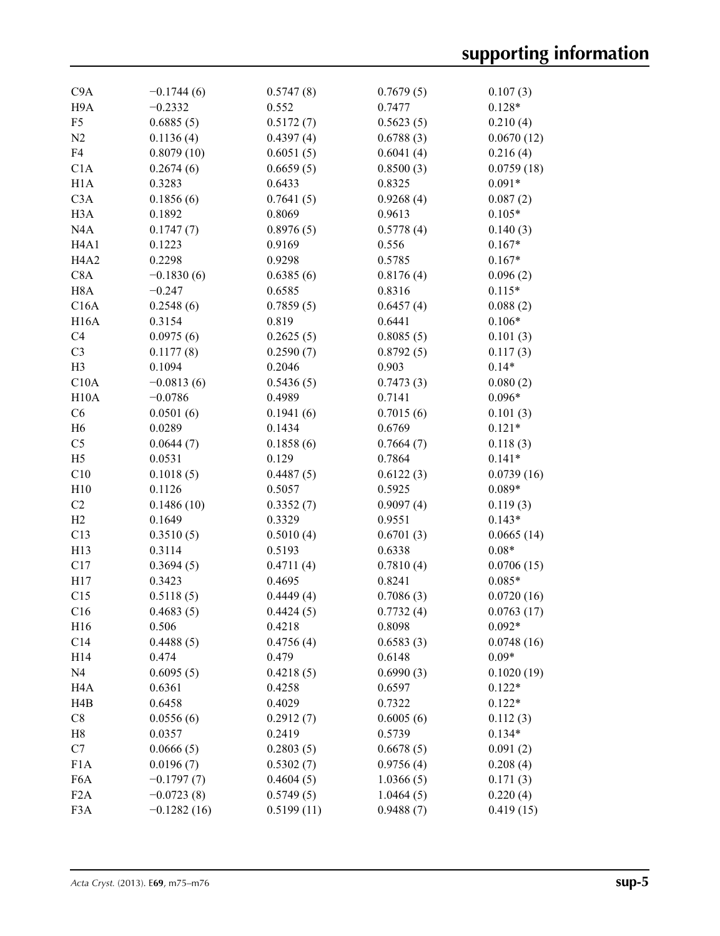| C9A                           | $-0.1744(6)$  | 0.5747(8)  | 0.7679(5) | 0.107(3)   |
|-------------------------------|---------------|------------|-----------|------------|
| H <sub>9</sub> A              | $-0.2332$     | 0.552      | 0.7477    | $0.128*$   |
| F <sub>5</sub>                | 0.6885(5)     | 0.5172(7)  | 0.5623(5) | 0.210(4)   |
| N2                            | 0.1136(4)     | 0.4397(4)  | 0.6788(3) | 0.0670(12) |
| F4                            | 0.8079(10)    | 0.6051(5)  | 0.6041(4) | 0.216(4)   |
| C1A                           | 0.2674(6)     | 0.6659(5)  | 0.8500(3) | 0.0759(18) |
| H1A                           | 0.3283        | 0.6433     | 0.8325    | $0.091*$   |
| C3A                           | 0.1856(6)     | 0.7641(5)  | 0.9268(4) | 0.087(2)   |
| H <sub>3</sub> A              | 0.1892        | 0.8069     | 0.9613    | $0.105*$   |
| N4A                           | 0.1747(7)     | 0.8976(5)  | 0.5778(4) | 0.140(3)   |
| H <sub>4</sub> A <sub>1</sub> | 0.1223        | 0.9169     | 0.556     | $0.167*$   |
| H <sub>4</sub> A <sub>2</sub> | 0.2298        | 0.9298     | 0.5785    | $0.167*$   |
| C8A                           | $-0.1830(6)$  | 0.6385(6)  | 0.8176(4) | 0.096(2)   |
| H <sub>8</sub> A              | $-0.247$      | 0.6585     | 0.8316    | $0.115*$   |
| C16A                          | 0.2548(6)     | 0.7859(5)  | 0.6457(4) | 0.088(2)   |
| <b>H16A</b>                   | 0.3154        | 0.819      | 0.6441    | $0.106*$   |
| C <sub>4</sub>                | 0.0975(6)     | 0.2625(5)  | 0.8085(5) | 0.101(3)   |
| C <sub>3</sub>                | 0.1177(8)     | 0.2590(7)  | 0.8792(5) | 0.117(3)   |
| H <sub>3</sub>                | 0.1094        | 0.2046     | 0.903     | $0.14*$    |
| C10A                          | $-0.0813(6)$  | 0.5436(5)  | 0.7473(3) | 0.080(2)   |
| H10A                          | $-0.0786$     | 0.4989     | 0.7141    | $0.096*$   |
| C6                            | 0.0501(6)     | 0.1941(6)  | 0.7015(6) | 0.101(3)   |
| H <sub>6</sub>                | 0.0289        | 0.1434     | 0.6769    | $0.121*$   |
| C <sub>5</sub>                | 0.0644(7)     | 0.1858(6)  | 0.7664(7) | 0.118(3)   |
| H <sub>5</sub>                | 0.0531        | 0.129      | 0.7864    | $0.141*$   |
| C10                           | 0.1018(5)     | 0.4487(5)  | 0.6122(3) | 0.0739(16) |
| H10                           | 0.1126        | 0.5057     | 0.5925    | $0.089*$   |
| C2                            | 0.1486(10)    | 0.3352(7)  | 0.9097(4) | 0.119(3)   |
| H2                            | 0.1649        | 0.3329     | 0.9551    | $0.143*$   |
| C13                           | 0.3510(5)     | 0.5010(4)  | 0.6701(3) | 0.0665(14) |
| H13                           | 0.3114        | 0.5193     | 0.6338    | $0.08*$    |
| C17                           | 0.3694(5)     | 0.4711(4)  | 0.7810(4) | 0.0706(15) |
| H17                           | 0.3423        | 0.4695     | 0.8241    | $0.085*$   |
| C15                           | 0.5118(5)     | 0.4449(4)  | 0.7086(3) | 0.0720(16) |
| C16                           | 0.4683(5)     | 0.4424(5)  | 0.7732(4) | 0.0763(17) |
| H16                           | 0.506         | 0.4218     | 0.8098    | $0.092*$   |
| C14                           | 0.4488(5)     | 0.4756(4)  | 0.6583(3) | 0.0748(16) |
| H14                           | 0.474         | 0.479      | 0.6148    | $0.09*$    |
| N <sub>4</sub>                | 0.6095(5)     | 0.4218(5)  | 0.6990(3) | 0.1020(19) |
| H <sub>4</sub> A              | 0.6361        | 0.4258     | 0.6597    | $0.122*$   |
| H4B                           | 0.6458        | 0.4029     | 0.7322    | $0.122*$   |
| C8                            | 0.0556(6)     | 0.2912(7)  | 0.6005(6) | 0.112(3)   |
| H8                            | 0.0357        | 0.2419     | 0.5739    | $0.134*$   |
| C7                            | 0.0666(5)     | 0.2803(5)  | 0.6678(5) | 0.091(2)   |
| F1A                           | 0.0196(7)     | 0.5302(7)  | 0.9756(4) | 0.208(4)   |
| F6A                           | $-0.1797(7)$  | 0.4604(5)  | 1.0366(5) | 0.171(3)   |
| F <sub>2</sub> A              | $-0.0723(8)$  | 0.5749(5)  | 1.0464(5) | 0.220(4)   |
| F <sub>3</sub> A              | $-0.1282(16)$ | 0.5199(11) | 0.9488(7) | 0.419(15)  |
|                               |               |            |           |            |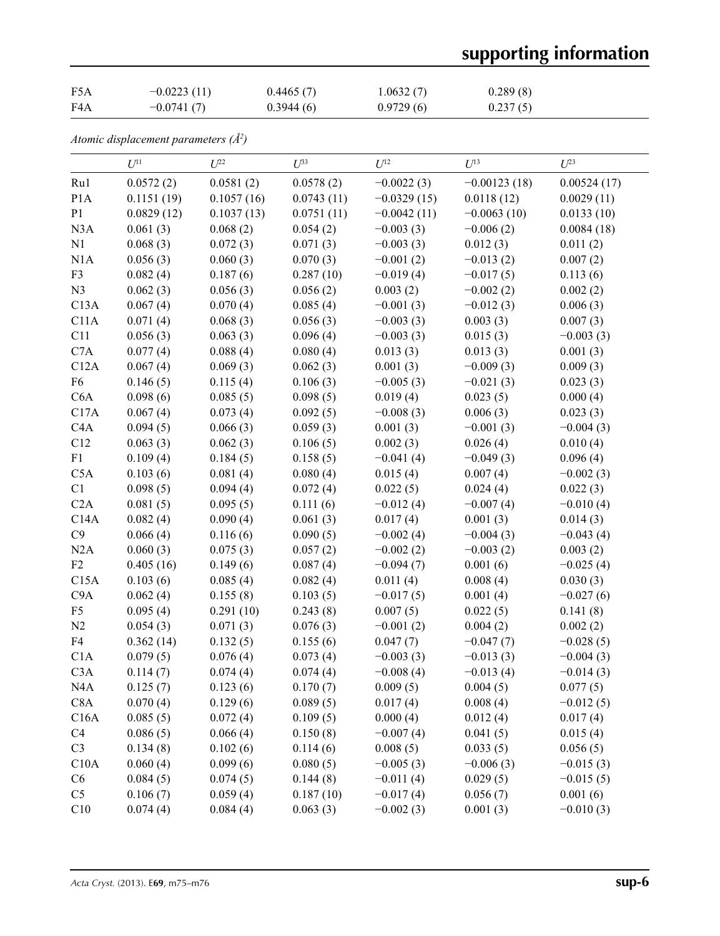# **supporting information**

| F <sub>5</sub> A | $-0.0223(11)$ | 0.4465(7) | 1.0632(7) | 0.289(8) |
|------------------|---------------|-----------|-----------|----------|
| F4A              | $-0.0741(7)$  | 0.3944(6) | 0.9729(6) | 0.237(5) |

*Atomic displacement parameters (Å2 )*

|                  | $U^{11}$   | $U^{22}$   | $U^{33}$   | $U^{12}$      | $U^{13}$       | $U^{23}$    |
|------------------|------------|------------|------------|---------------|----------------|-------------|
| Ru1              | 0.0572(2)  | 0.0581(2)  | 0.0578(2)  | $-0.0022(3)$  | $-0.00123(18)$ | 0.00524(17) |
| P <sub>1</sub> A | 0.1151(19) | 0.1057(16) | 0.0743(11) | $-0.0329(15)$ | 0.0118(12)     | 0.0029(11)  |
| P1               | 0.0829(12) | 0.1037(13) | 0.0751(11) | $-0.0042(11)$ | $-0.0063(10)$  | 0.0133(10)  |
| N3A              | 0.061(3)   | 0.068(2)   | 0.054(2)   | $-0.003(3)$   | $-0.006(2)$    | 0.0084(18)  |
| N1               | 0.068(3)   | 0.072(3)   | 0.071(3)   | $-0.003(3)$   | 0.012(3)       | 0.011(2)    |
| N1A              | 0.056(3)   | 0.060(3)   | 0.070(3)   | $-0.001(2)$   | $-0.013(2)$    | 0.007(2)    |
| F3               | 0.082(4)   | 0.187(6)   | 0.287(10)  | $-0.019(4)$   | $-0.017(5)$    | 0.113(6)    |
| N3               | 0.062(3)   | 0.056(3)   | 0.056(2)   | 0.003(2)      | $-0.002(2)$    | 0.002(2)    |
| C13A             | 0.067(4)   | 0.070(4)   | 0.085(4)   | $-0.001(3)$   | $-0.012(3)$    | 0.006(3)    |
| C11A             | 0.071(4)   | 0.068(3)   | 0.056(3)   | $-0.003(3)$   | 0.003(3)       | 0.007(3)    |
| C11              | 0.056(3)   | 0.063(3)   | 0.096(4)   | $-0.003(3)$   | 0.015(3)       | $-0.003(3)$ |
| C7A              | 0.077(4)   | 0.088(4)   | 0.080(4)   | 0.013(3)      | 0.013(3)       | 0.001(3)    |
| C12A             | 0.067(4)   | 0.069(3)   | 0.062(3)   | 0.001(3)      | $-0.009(3)$    | 0.009(3)    |
| F <sub>6</sub>   | 0.146(5)   | 0.115(4)   | 0.106(3)   | $-0.005(3)$   | $-0.021(3)$    | 0.023(3)    |
| C6A              | 0.098(6)   | 0.085(5)   | 0.098(5)   | 0.019(4)      | 0.023(5)       | 0.000(4)    |
| C17A             | 0.067(4)   | 0.073(4)   | 0.092(5)   | $-0.008(3)$   | 0.006(3)       | 0.023(3)    |
| C <sub>4</sub> A | 0.094(5)   | 0.066(3)   | 0.059(3)   | 0.001(3)      | $-0.001(3)$    | $-0.004(3)$ |
| C12              | 0.063(3)   | 0.062(3)   | 0.106(5)   | 0.002(3)      | 0.026(4)       | 0.010(4)    |
| F1               | 0.109(4)   | 0.184(5)   | 0.158(5)   | $-0.041(4)$   | $-0.049(3)$    | 0.096(4)    |
| C5A              | 0.103(6)   | 0.081(4)   | 0.080(4)   | 0.015(4)      | 0.007(4)       | $-0.002(3)$ |
| C1               | 0.098(5)   | 0.094(4)   | 0.072(4)   | 0.022(5)      | 0.024(4)       | 0.022(3)    |
| C2A              | 0.081(5)   | 0.095(5)   | 0.111(6)   | $-0.012(4)$   | $-0.007(4)$    | $-0.010(4)$ |
| C14A             | 0.082(4)   | 0.090(4)   | 0.061(3)   | 0.017(4)      | 0.001(3)       | 0.014(3)    |
| C9               | 0.066(4)   | 0.116(6)   | 0.090(5)   | $-0.002(4)$   | $-0.004(3)$    | $-0.043(4)$ |
| N2A              | 0.060(3)   | 0.075(3)   | 0.057(2)   | $-0.002(2)$   | $-0.003(2)$    | 0.003(2)    |
| F2               | 0.405(16)  | 0.149(6)   | 0.087(4)   | $-0.094(7)$   | 0.001(6)       | $-0.025(4)$ |
| C15A             | 0.103(6)   | 0.085(4)   | 0.082(4)   | 0.011(4)      | 0.008(4)       | 0.030(3)    |
| C9A              | 0.062(4)   | 0.155(8)   | 0.103(5)   | $-0.017(5)$   | 0.001(4)       | $-0.027(6)$ |
| F <sub>5</sub>   | 0.095(4)   | 0.291(10)  | 0.243(8)   | 0.007(5)      | 0.022(5)       | 0.141(8)    |
| N2               | 0.054(3)   | 0.071(3)   | 0.076(3)   | $-0.001(2)$   | 0.004(2)       | 0.002(2)    |
| F4               | 0.362(14)  | 0.132(5)   | 0.155(6)   | 0.047(7)      | $-0.047(7)$    | $-0.028(5)$ |
| C1A              | 0.079(5)   | 0.076(4)   | 0.073(4)   | $-0.003(3)$   | $-0.013(3)$    | $-0.004(3)$ |
| C <sub>3</sub> A | 0.114(7)   | 0.074(4)   | 0.074(4)   | $-0.008(4)$   | $-0.013(4)$    | $-0.014(3)$ |
| N <sub>4</sub> A | 0.125(7)   | 0.123(6)   | 0.170(7)   | 0.009(5)      | 0.004(5)       | 0.077(5)    |
| C8A              | 0.070(4)   | 0.129(6)   | 0.089(5)   | 0.017(4)      | 0.008(4)       | $-0.012(5)$ |
| C16A             | 0.085(5)   | 0.072(4)   | 0.109(5)   | 0.000(4)      | 0.012(4)       | 0.017(4)    |
| C <sub>4</sub>   | 0.086(5)   | 0.066(4)   | 0.150(8)   | $-0.007(4)$   | 0.041(5)       | 0.015(4)    |
| C <sub>3</sub>   | 0.134(8)   | 0.102(6)   | 0.114(6)   | 0.008(5)      | 0.033(5)       | 0.056(5)    |
| C10A             | 0.060(4)   | 0.099(6)   | 0.080(5)   | $-0.005(3)$   | $-0.006(3)$    | $-0.015(3)$ |
| C6               | 0.084(5)   | 0.074(5)   | 0.144(8)   | $-0.011(4)$   | 0.029(5)       | $-0.015(5)$ |
| C <sub>5</sub>   | 0.106(7)   | 0.059(4)   | 0.187(10)  | $-0.017(4)$   | 0.056(7)       | 0.001(6)    |
| C10              | 0.074(4)   | 0.084(4)   | 0.063(3)   | $-0.002(3)$   | 0.001(3)       | $-0.010(3)$ |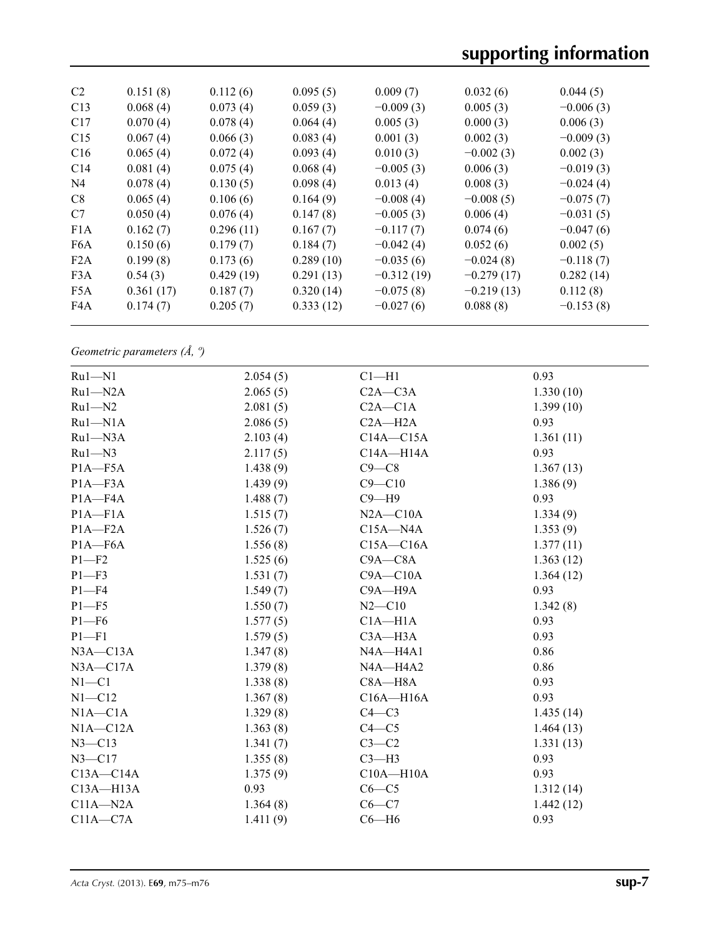| C <sub>2</sub>   | 0.151(8)  | 0.112(6)  | 0.095(5)  | 0.009(7)     | 0.032(6)     | 0.044(5)    |
|------------------|-----------|-----------|-----------|--------------|--------------|-------------|
| C13              | 0.068(4)  | 0.073(4)  | 0.059(3)  | $-0.009(3)$  | 0.005(3)     | $-0.006(3)$ |
| C17              | 0.070(4)  | 0.078(4)  | 0.064(4)  | 0.005(3)     | 0.000(3)     | 0.006(3)    |
| C15              | 0.067(4)  | 0.066(3)  | 0.083(4)  | 0.001(3)     | 0.002(3)     | $-0.009(3)$ |
| C16              | 0.065(4)  | 0.072(4)  | 0.093(4)  | 0.010(3)     | $-0.002(3)$  | 0.002(3)    |
| C14              | 0.081(4)  | 0.075(4)  | 0.068(4)  | $-0.005(3)$  | 0.006(3)     | $-0.019(3)$ |
| N <sub>4</sub>   | 0.078(4)  | 0.130(5)  | 0.098(4)  | 0.013(4)     | 0.008(3)     | $-0.024(4)$ |
| C8               | 0.065(4)  | 0.106(6)  | 0.164(9)  | $-0.008(4)$  | $-0.008(5)$  | $-0.075(7)$ |
| C7               | 0.050(4)  | 0.076(4)  | 0.147(8)  | $-0.005(3)$  | 0.006(4)     | $-0.031(5)$ |
| F1A              | 0.162(7)  | 0.296(11) | 0.167(7)  | $-0.117(7)$  | 0.074(6)     | $-0.047(6)$ |
| F <sub>6</sub> A | 0.150(6)  | 0.179(7)  | 0.184(7)  | $-0.042(4)$  | 0.052(6)     | 0.002(5)    |
| F2A              | 0.199(8)  | 0.173(6)  | 0.289(10) | $-0.035(6)$  | $-0.024(8)$  | $-0.118(7)$ |
| F <sub>3</sub> A | 0.54(3)   | 0.429(19) | 0.291(13) | $-0.312(19)$ | $-0.279(17)$ | 0.282(14)   |
| F5A              | 0.361(17) | 0.187(7)  | 0.320(14) | $-0.075(8)$  | $-0.219(13)$ | 0.112(8)    |
| F4A              | 0.174(7)  | 0.205(7)  | 0.333(12) | $-0.027(6)$  | 0.088(8)     | $-0.153(8)$ |
|                  |           |           |           |              |              |             |

*Geometric parameters (Å, º)*

| $Ru1 - N1$    | 2.054(5) | $Cl - H1$     | 0.93      |
|---------------|----------|---------------|-----------|
| $Ru1 - N2A$   | 2.065(5) | $C2A - C3A$   | 1.330(10) |
| $Ru1 - N2$    | 2.081(5) | $C2A - C1A$   | 1.399(10) |
| $Ru1 - N1A$   | 2.086(5) | $C2A - H2A$   | 0.93      |
| $Ru1 - N3A$   | 2.103(4) | $C14A - C15A$ | 1.361(11) |
| $Ru1 - N3$    | 2.117(5) | C14A-H14A     | 0.93      |
| $P1A - F5A$   | 1.438(9) | $C9 - C8$     | 1.367(13) |
| $P1A - F3A$   | 1.439(9) | $C9 - C10$    | 1.386(9)  |
| $P1A - F4A$   | 1.488(7) | $C9 - H9$     | 0.93      |
| $P1A - F1A$   | 1.515(7) | $N2A - C10A$  | 1.334(9)  |
| $P1A - F2A$   | 1.526(7) | $C15A - N4A$  | 1.353(9)  |
| $P1A - F6A$   | 1.556(8) | $C15A - C16A$ | 1.377(11) |
| $P1 - F2$     | 1.525(6) | $C9A - C8A$   | 1.363(12) |
| $P1 - F3$     | 1.531(7) | $C9A - C10A$  | 1.364(12) |
| $P1 - F4$     | 1.549(7) | $C9A - H9A$   | 0.93      |
| $P1 - F5$     | 1.550(7) | $N2 - C10$    | 1.342(8)  |
| $P1 - F6$     | 1.577(5) | $C1A - H1A$   | 0.93      |
| $P1 - F1$     | 1.579(5) | $C3A - H3A$   | 0.93      |
| $N3A - C13A$  | 1.347(8) | $NAA - HA1$   | 0.86      |
| $N3A - C17A$  | 1.379(8) | $NAA - H4A2$  | 0.86      |
| $N1 - C1$     | 1.338(8) | $C8A - H8A$   | 0.93      |
| $N1 - C12$    | 1.367(8) | $C16A - H16A$ | 0.93      |
| $N1A - C1A$   | 1.329(8) | $C4-C3$       | 1.435(14) |
| $N1A - C12A$  | 1.363(8) | $C4 - C5$     | 1.464(13) |
| $N3 - C13$    | 1.341(7) | $C3-C2$       | 1.331(13) |
| $N3 - C17$    | 1.355(8) | $C3-H3$       | 0.93      |
| $C13A - C14A$ | 1.375(9) | $C10A - H10A$ | 0.93      |
| $C13A - H13A$ | 0.93     | $C6 - C5$     | 1.312(14) |
| $C11A - N2A$  | 1.364(8) | $C6-C7$       | 1.442(12) |
| $C11A - C7A$  | 1.411(9) | $C6 - H6$     | 0.93      |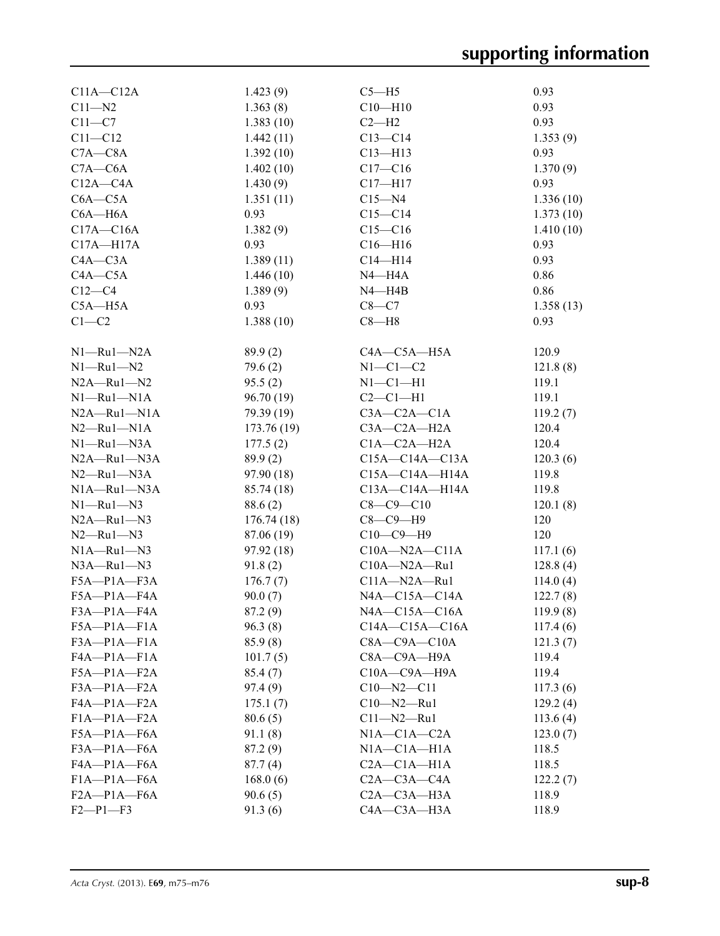| $C11A - C12A$     | 1.423(9)   | $C5 - H5$            | 0.93      |
|-------------------|------------|----------------------|-----------|
| $C11 - N2$        | 1.363(8)   | $C10 - H10$          | 0.93      |
| $C11-C7$          | 1.383(10)  | $C2-H2$              | 0.93      |
| $C11 - C12$       | 1.442(11)  | $C13 - C14$          | 1.353(9)  |
| $C7A - C8A$       | 1.392(10)  | $C13 - H13$          | 0.93      |
| $C7A - C6A$       | 1.402(10)  | $C17 - C16$          | 1.370(9)  |
| $C12A - C4A$      | 1.430(9)   | $C17 - H17$          | 0.93      |
| $C6A - C5A$       | 1.351(11)  | $C15 - N4$           | 1.336(10) |
| $C6A - H6A$       | 0.93       | $C15 - C14$          | 1.373(10) |
| $C17A - C16A$     | 1.382(9)   | $C15 - C16$          | 1.410(10) |
| $C17A - H17A$     | 0.93       | $C16 - H16$          | 0.93      |
| $C4A - C3A$       | 1.389(11)  | $C14 - H14$          | 0.93      |
| $C4A - C5A$       | 1.446(10)  | $N4 - H4A$           | 0.86      |
| $C12-C4$          | 1.389(9)   |                      | 0.86      |
|                   |            | N4—H4B               |           |
| $C5A - H5A$       | 0.93       | $C8-C7$              | 1.358(13) |
| $C1-C2$           | 1.388(10)  | $C8 - H8$            | 0.93      |
| $N1 - Ru1 - N2A$  | 89.9(2)    | $C4A - C5A - H5A$    | 120.9     |
| $N1 - Ru1 - N2$   | 79.6(2)    | $N1-C1-C2$           | 121.8(8)  |
| $N2A - Ru1 - N2$  | 95.5(2)    | $N1-C1-H1$           | 119.1     |
| $N1 - Ru1 - N1A$  | 96.70 (19) | $C2-C1-H1$           | 119.1     |
| $N2A - Ru1 - N1A$ | 79.39 (19) | $C3A - C2A - C1A$    | 119.2(7)  |
| $N2 - Ru1 - N1A$  | 173.76(19) | $C3A-C2A-H2A$        | 120.4     |
| $N1 - Ru1 - N3A$  | 177.5(2)   | $C1A - C2A - H2A$    | 120.4     |
|                   |            |                      |           |
| $N2A - Ru1 - N3A$ | 89.9(2)    | $C15A - C14A - C13A$ | 120.3(6)  |
| $N2 - Ru1 - N3A$  | 97.90 (18) | $C15A - C14A - H14A$ | 119.8     |
| $N1A - Ru1 - N3A$ | 85.74 (18) | $C13A - C14A - H14A$ | 119.8     |
| $N1 - Ru1 - N3$   | 88.6(2)    | $C8 - C9 - C10$      | 120.1(8)  |
| $N2A - Ru1 - N3$  | 176.74(18) | $C8-C9-H9$           | 120       |
| $N2$ —Ru $1$ —N3  | 87.06 (19) | $C10-C9-H9$          | 120       |
| $N1A - Ru1 - N3$  | 97.92 (18) | $C10A - N2A - C11A$  | 117.1(6)  |
| $N3A - Ru1 - N3$  | 91.8(2)    | $C10A - N2A - Ru1$   | 128.8(4)  |
| $F5A-P1A-F3A$     | 176.7(7)   | $C11A - N2A - Ru1$   | 114.0(4)  |
| F5A-P1A-F4A       | 90.0(7)    | $NAA - C15A - C14A$  | 122.7(8)  |
| F3A-P1A-F4A       | 87.2 (9)   | $NAA$ —C15A—C16A     | 119.9(8)  |
| $F5A - P1A - F1A$ | 96.3(8)    | $C14A - C15A - C16A$ | 117.4(6)  |
| $F3A-P1A-F1A$     | 85.9(8)    | $C8A - C9A - C10A$   | 121.3(7)  |
| FA—P1A—F1A        | 101.7(5)   | $C8A - C9A - H9A$    | 119.4     |
| $F5A-P1A-F2A$     | 85.4(7)    | $C10A - C9A - H9A$   | 119.4     |
| $F3A-P1A-F2A$     | 97.4 (9)   | $C10 - N2 - C11$     | 117.3(6)  |
| FA—P1A—F2A        | 175.1(7)   | $C10 - N2 - Ru1$     | 129.2(4)  |
| $F1A-P1A-F2A$     | 80.6(5)    | $C11 - N2 - Ru1$     | 113.6(4)  |
| F5A-P1A-F6A       | 91.1 (8)   | $N1A - C1A - C2A$    | 123.0(7)  |
| $F3A - P1A - F6A$ | 87.2 (9)   | NIA—C1A—H1A          | 118.5     |
| F4A-P1A-F6A       | 87.7(4)    | $C2A - C1A - H1A$    | 118.5     |
| $F1A-P1A-F6A$     | 168.0(6)   | $C2A - C3A - C4A$    | 122.2(7)  |
| $F2A-P1A-F6A$     |            | $C2A - C3A - H3A$    | 118.9     |
|                   | 90.6(5)    |                      |           |
| $F2 - P1 - F3$    | 91.3(6)    | C4A-C3A-H3A          | 118.9     |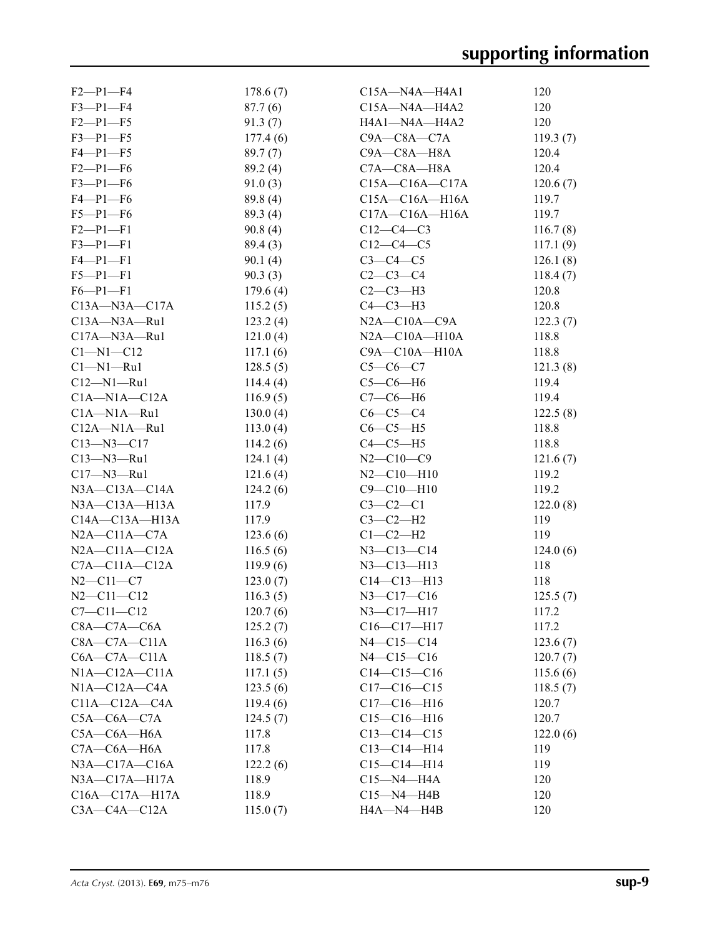| $F2-P1-F4$             | 178.6(7) | $C15A - N4A - H4A1$    | 120            |
|------------------------|----------|------------------------|----------------|
| $F3-P1-F4$             | 87.7(6)  | $C15A - N4A - H4A2$    | 120            |
| $F2-P1-F5$             | 91.3(7)  | H4A1-N4A-H4A2          | 120            |
| $F3 - P1 - F5$         | 177.4(6) | $C9A - C8A - C7A$      | 119.3(7)       |
| $F4-P1-F5$             | 89.7(7)  | C9A-C8A-H8A            | 120.4          |
| $F2-P1-F6$             | 89.2(4)  | $C7A - C8A - H8A$      | 120.4          |
| $F3-P1-F6$             | 91.0(3)  | $C15A - C16A - C17A$   | 120.6(7)       |
| $F4-P1-F6$             | 89.8 (4) | $C15A - C16A - H16A$   | 119.7          |
| $F5-P1-F6$             | 89.3(4)  | $C17A - C16A - H16A$   | 119.7          |
| $F2-P1-F1$             | 90.8(4)  | $C12-C4-C3$            | 116.7(8)       |
| $F3 - P1 - F1$         | 89.4(3)  | $C12-C4-C5$            | 117.1(9)       |
| $F4 - P1 - F1$         | 90.1(4)  | $C3-C4-C5$             | 126.1(8)       |
| $F5 - P1 - F1$         | 90.3(3)  | $C2-C3-C4$             | 118.4(7)       |
| $F6 - P1 - F1$         | 179.6(4) | $C2-C3-H3$             | 120.8          |
| $C13A - N3A - C17A$    | 115.2(5) | $C4-C3-H3$             | 120.8          |
| $C13A - N3A - Ru1$     | 123.2(4) | $N2A$ — $C10A$ — $C9A$ | 122.3(7)       |
| $C17A - N3A - Ru1$     | 121.0(4) | $N2A - C10A - H10A$    | 118.8          |
| $Cl-M1-C12$            | 117.1(6) | $C9A - C10A - H10A$    | 118.8          |
| $Cl-M1-Ru1$            | 128.5(5) | $C5-C6-C7$             | 121.3(8)       |
| $C12 - N1 - Ru1$       | 114.4(4) | $C5-C6-H6$             | 119.4          |
| $C1A-M1A-C12A$         | 116.9(5) | $C7-C6-H6$             | 119.4          |
| $C1A - N1A - Ru1$      | 130.0(4) | $C6-C5-C4$             | 122.5(8)       |
| $C12A - N1A - Ru1$     | 113.0(4) | $C6-C5-H5$             | 118.8          |
| $C13 - N3 - C17$       |          | $C4-C5-H5$             | 118.8          |
| $C13 - N3 - Ru1$       | 114.2(6) | $N2 - C10 - C9$        |                |
|                        | 124.1(4) | $N2 - C10 - H10$       | 121.6(7)       |
| $C17 - N3 - Ru1$       | 121.6(4) |                        | 119.2<br>119.2 |
| $N3A - C13A - C14A$    | 124.2(6) | $C9 - C10 - H10$       |                |
| $N3A - C13A - H13A$    | 117.9    | $C3-C2-C1$             | 122.0(8)       |
| $C14A - C13A - H13A$   | 117.9    | $C3-C2-H2$             | 119            |
| $N2A - C11A - C7A$     | 123.6(6) | $C1-C2-H2$             | 119            |
| $N2A - C11A - C12A$    | 116.5(6) | $N3 - C13 - C14$       | 124.0(6)       |
| $C7A - C11A - C12A$    | 119.9(6) | $N3 - C13 - H13$       | 118            |
| $N2 - C11 - C7$        | 123.0(7) | $C14 - C13 - H13$      | 118            |
| $N2 - C11 - C12$       | 116.3(5) | $N3 - C17 - C16$       | 125.5(7)       |
| $C7 - C11 - C12$       | 120.7(6) | $N3 - C17 - H17$       | 117.2          |
| $C8A - C7A - C6A$      | 125.2(7) | $C16-C17-H17$          | 117.2          |
| $C8A - C7A - C11A$     | 116.3(6) | $N4 - C15 - C14$       | 123.6(7)       |
| $C6A - C7A - C11A$     | 118.5(7) | $N4 - C15 - C16$       | 120.7(7)       |
| $NIA-C12A-C11A$        | 117.1(5) | $C14-C15-C16$          | 115.6(6)       |
| $NIA$ — $C12A$ — $C4A$ | 123.5(6) | $C17-C16-C15$          | 118.5(7)       |
| $C11A-C12A-C4A$        | 119.4(6) | $C17 - C16 - H16$      | 120.7          |
| $C5A-C6A-C7A$          | 124.5(7) | $C15 - C16 - H16$      | 120.7          |
| $C5A - C6A - H6A$      | 117.8    | $C13 - C14 - C15$      | 122.0(6)       |
| $C7A - C6A - H6A$      | 117.8    | $C13 - C14 - H14$      | 119            |
| $N3A - C17A - C16A$    | 122.2(6) | $C15-C14-H14$          | 119            |
| $N3A - C17A - H17A$    | 118.9    | $C15 - N4 - H4A$       | 120            |
| $C16A - C17A - H17A$   | 118.9    | $C15 - N4 - H4B$       | 120            |
| $C3A - C4A - C12A$     | 115.0(7) | H4A-N4-H4B             | 120            |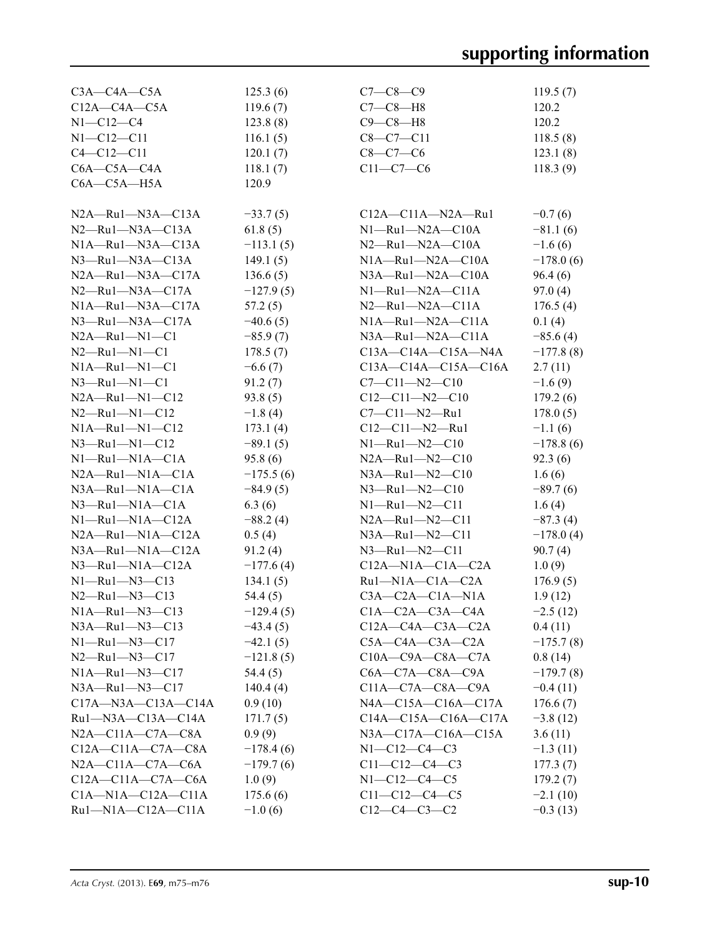| $C3A - C4A - C5A$             | 125.3(6)    | $C7 - C8 - C9$                 | 119.5(7)    |
|-------------------------------|-------------|--------------------------------|-------------|
| $C12A - C4A - C5A$            | 119.6(7)    | $C7-C8-H8$                     | 120.2       |
| $N1 - C12 - C4$               | 123.8(8)    | $C9-C8-H8$                     | 120.2       |
| $N1 - C12 - C11$              | 116.1(5)    | $C8-C7-C11$                    | 118.5(8)    |
| $C4 - C12 - C11$              | 120.1(7)    | $C8-C7-C6$                     | 123.1(8)    |
| $C6A - C5A - C4A$             | 118.1(7)    | $C11-C7-C6$                    | 118.3(9)    |
| $C6A - C5A - H5A$             | 120.9       |                                |             |
|                               |             |                                |             |
| $N2A - Ru1 - N3A - C13A$      | $-33.7(5)$  | $C12A - C11A - N2A - Ru1$      | $-0.7(6)$   |
| $N2$ —Ru $1$ —N $3A$ —C $13A$ | 61.8(5)     | $N1 - Ru1 - N2A - C10A$        | $-81.1(6)$  |
| NIA—Ru1—N3A—C13A              | $-113.1(5)$ | $N2 - Ru1 - N2A - C10A$        | $-1.6(6)$   |
| $N3$ —Ru $1$ —N $3A$ —C $13A$ | 149.1(5)    | $N1A - Ru1 - N2A - C10A$       | $-178.0(6)$ |
| $N2A - Ru1 - N3A - C17A$      | 136.6(5)    | $N3A - Ru1 - N2A - C10A$       | 96.4(6)     |
| $N2$ —Ru $1$ —N $3A$ —C $17A$ | $-127.9(5)$ | $N1 - Ru1 - N2A - C11A$        | 97.0 (4)    |
| $N1A - Ru1 - N3A - C17A$      | 57.2(5)     | $N2$ —Ru1—N2A—C11A             | 176.5(4)    |
| $N3$ -Ru1- $N3A$ -C17A        | $-40.6(5)$  | $N1A - Ru1 - N2A - C11A$       | 0.1(4)      |
| $N2A - Ru1 - N1 - C1$         | $-85.9(7)$  | $N3A$ —Ru $1$ — $N2A$ —C $11A$ | $-85.6(4)$  |
| $N2 - Ru1 - N1 - C1$          | 178.5(7)    | $C13A - C14A - C15A - N4A$     | $-177.8(8)$ |
| $N1A - Ru1 - N1 - C1$         | $-6.6(7)$   | $C13A - C14A - C15A - C16A$    | 2.7(11)     |
| $N3$ —Ru $1$ —N $1$ —C $1$    | 91.2(7)     | $C7 - C11 - N2 - C10$          | $-1.6(9)$   |
| $N2A - Ru1 - N1 - C12$        | 93.8(5)     | $C12-C11-N2-C10$               | 179.2(6)    |
| $N2 - Ru1 - N1 - C12$         | $-1.8(4)$   | $C7-C11-N2-Ru1$                | 178.0(5)    |
| $N1A - Ru1 - N1 - C12$        | 173.1(4)    | $C12-C11-N2-Ru1$               | $-1.1(6)$   |
| $N3$ —Ru $1$ —N $1$ —C $12$   | $-89.1(5)$  | $N1 - Ru1 - N2 - C10$          | $-178.8(6)$ |
| $N1 - Ru1 - N1A - C1A$        | 95.8(6)     | $N2A - Ru1 - N2 - C10$         | 92.3(6)     |
| $N2A - Ru1 - N1A - C1A$       | $-175.5(6)$ | $N3A - Ru1 - N2 - C10$         | 1.6(6)      |
| $N3A - Ru1 - N1A - C1A$       | $-84.9(5)$  | $N3$ —Ru1—N2—C10               | $-89.7(6)$  |
| $N3$ —Ru $1$ —N $1A$ —C $1A$  | 6.3(6)      | $N1 - Ru1 - N2 - C11$          | 1.6(4)      |
| $N1 - Ru1 - N1A - C12A$       | $-88.2(4)$  | $N2A - Ru1 - N2 - C11$         | $-87.3(4)$  |
| $N2A - Ru1 - N1A - C12A$      | 0.5(4)      | $N3A$ —Ru $1$ — $N2$ —C11      | $-178.0(4)$ |
| $N3A - Ru1 - N1A - C12A$      | 91.2(4)     | $N3 - Ru1 - N2 - C11$          | 90.7(4)     |
| $N3$ —Ru1—N1A—C12A            | $-177.6(4)$ | $C12A - N1A - C1A - C2A$       | 1.0(9)      |
| $N1 - Ru1 - N3 - C13$         | 134.1(5)    | $Ru1-M1A-C1A-C2A$              | 176.9(5)    |
| $N2 - Ru1 - N3 - C13$         | 54.4 (5)    | $C3A - C2A - C1A - N1A$        | 1.9(12)     |
| $N1A - Ru1 - N3 - C13$        | $-129.4(5)$ | $C1A - C2A - C3A - C4A$        | $-2.5(12)$  |
| $N3A - Ru1 - N3 - C13$        | $-43.4(5)$  | $C12A - C4A - C3A - C2A$       | 0.4(11)     |
| $N1 - Ru1 - N3 - C17$         | $-42.1(5)$  | $C5A - C4A - C3A - C2A$        | $-175.7(8)$ |
| $N2 - Ru1 - N3 - C17$         | $-121.8(5)$ | $C10A - C9A - C8A - C7A$       | 0.8(14)     |
| $N1A - Ru1 - N3 - C17$        | 54.4 (5)    | $C6A - C7A - C8A - C9A$        | $-179.7(8)$ |
| $N3A$ —Ru $1$ — $N3$ —C $17$  | 140.4(4)    | $C11A - C7A - C8A - C9A$       | $-0.4(11)$  |
| $C17A$ —N3A—C13A—C14A         | 0.9(10)     | $NAA - C15A - C16A - C17A$     | 176.6(7)    |
| $Ru1 - N3A - C13A - C14A$     | 171.7(5)    | $C14A - C15A - C16A - C17A$    | $-3.8(12)$  |
| $N2A - C11A - C7A - C8A$      | 0.9(9)      | $N3A - C17A - C16A - C15A$     | 3.6(11)     |
| $C12A - C11A - C7A - C8A$     | $-178.4(6)$ | $N1 - C12 - C4 - C3$           | $-1.3(11)$  |
| $N2A - C11A - C7A - C6A$      | $-179.7(6)$ | $C11-C12-C4-C3$                | 177.3(7)    |
| $C12A - C11A - C7A - C6A$     | 1.0(9)      | $N1 - C12 - C4 - C5$           | 179.2(7)    |
| $C1A - N1A - C12A - C11A$     | 175.6(6)    | $C11 - C12 - C4 - C5$          | $-2.1(10)$  |
| $Ru1-N1A-C12A-C11A$           | $-1.0(6)$   | $C12-C4-C3-C2$                 | $-0.3(13)$  |